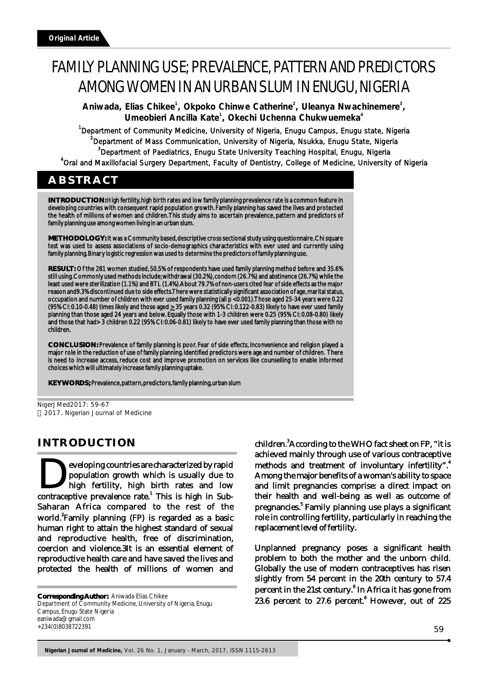# FAMILY PLANNING USE; PREVALENCE, PATTERN AND PREDICTORS AMONG WOMEN IN AN URBAN SLUM IN ENUGU, NIGERIA

**<sup>1</sup> <sup>2</sup> <sup>3</sup> Aniwada, Elias Chikee , Okpoko Chinwe Catherine , Uleanya Nwachinemere , <sup>1</sup> <sup>4</sup> Umeobieri Ancilla Kate , Okechi Uchenna Chukwuemeka**

<sup>1</sup>Department of Community Medicine, University of Nigeria, Enugu Campus, Enugu state, Nigeria <sup>2</sup>Department of Mass Communication, University of Nigeria, Nsukka, Enugu State, Nigeria <sup>3</sup>Department of Paediatrics, Enugu State University Teaching Hospital, Enugu, Nigeria 4 Oral and Maxillofacial Surgery Department, Faculty of Dentistry, College of Medicine, University of Nigeria

# **ABSTRACT**

**INTRODUCTION:** High fertility, high birth rates and low family planning prevalence rate is a common feature in developing countries with consequent rapid population growth. Family planning has saved the lives and protected the health of millions of women and children. This study aims to ascertain prevalence, pattern and predictors of family planning use among women living in an urban slum.

**METHODOLOGY:** It was a Community based, descriptive cross sectional study using questionnaire. Chi square test was used to assess associations of socio-demographics characteristics with ever used and currently using family planning. Binary logistic regression was used to determine the predictors of family planning use.

**RESULT:** Of the 281 women studied, 50.5% of respondents have used family planning method before and 35.6% still using. Commonly used methods include; withdrawal (30.2%), condom (26.7%) and abstinence (26.7%) while the least used were sterilization (1.1%) and BTL (1.4%). About 79.7% of non-users cited fear of side effects as the major reason and9.3% discontinued due to side effects. There were statistically significant association of age, marital status, occupation and number of children with ever used family planning (all p <0.001). Those aged 25-34 years were 0.22 (95% CI: 0.10-0.48) times likely and those aged  $\geq$  35 years 0.32 (95% CI: 0.122-0.83) likely to have ever used family planning than those aged 24 years and below. Equally those with 1-3 children were 0.25 (95% CI: 0.08-0.80) likely and those that had> 3 children 0.22 (95% CI: 0.06-0.81) likely to have ever used family planning than those with no children.

**CONCLUSION:** Prevalence of family planning is poor. Fear of side effects, inconvenience and religion played a major role in the reduction of use of family planning. Identified predictors were age and number of children. There is need to increase access, reduce cost and improve promotion on services like counselling to enable informed choices which will ultimately increase family planning uptake.

**KEY WORDS;** Prevalence, pattern, predictors, family planning, urban slum

NigerJMed2017: 59-67 2017. Nigerian Journal of Medicine

# **INTRODUCTION**

eveloping countries are characterized by rapid **Population growth which is usually due to high fertility, high birth rates and low contraceptive prevalence rate.** This is high in Sub-Saharan Africa compared to the rest of the world. Family planning (FP) is regarded as a basic human right to attain the highest standard of sexual and reproductive health, free of discrimination, coercion and violence.3It is an essential element of reproductive health care and have saved the lives and protected the health of millions of women and

**Corresponding Author:** Aniwada Elias Chikee Department of Community Medicine, University of Nigeria, Enugu Campus, Enugu State Nigeria eaniwada@gmail.com +234(0)8038722391

children.<sup>3</sup> According to the WHO fact sheet on FP, "it is achieved mainly through use of various contraceptive methods and treatment of involuntary infertility". Among the major benefits of a woman's ability to space and limit pregnancies comprise: a direct impact on their health and well-being as well as outcome of pregnancies.<sup>5</sup> Family planning use plays a significant role in controlling fertility, particularly in reaching the replacement level of fertility.

Unplanned pregnancy poses a significant health problem to both the mother and the unborn child. Globally the use of modern contraceptives has risen slightly from 54 percent in the 20th century to 57.4 percent in the 21st century.<sup>6</sup> In Africa it has gone from 23.6 percent to  $27.6$  percent.<sup>6</sup> However, out of 225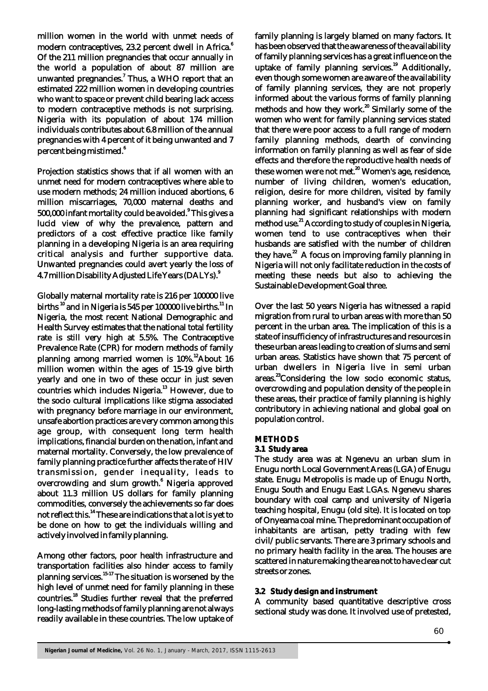million women in the world with unmet needs of modern contraceptives, 23.2 percent dwell in Africa.<sup>6</sup> Of the 211 million pregnancies that occur annually in the world a population of about 87 million are unwanted pregnancies.<sup>7</sup> Thus, a WHO report that an estimated 222 million women in developing countries who want to space or prevent child bearing lack access to modern contraceptive methods is not surprising. Nigeria with its population of about 174 million individuals contributes about 6.8 million of the annual pregnancies with 4 percent of it being unwanted and 7 6 percent being mistimed.

Projection statistics shows that if all women with an unmet need for modern contraceptives where able to use modern methods; 24 million induced abortions, 6 million miscarriages, 70,000 maternal deaths and 500,000 infant mortality could be avoided.<sup>9</sup> This gives a lucid view of why the prevalence, pattern and predictors of a cost effective practice like family planning in a developing Nigeria is an area requiring critical analysis and further supportive data. Unwanted pregnancies could avert yearly the loss of 9 4.7 million Disability Adjusted Life Years (DALYs).

Globally maternal mortality rate is 216 per 100000 live births  $^{10}$  and in Nigeria is 545 per 100000 live births.<sup>11</sup> In Nigeria, the most recent National Demographic and Health Survey estimates that the national total fertility rate is still very high at 5.5%. The Contraceptive Prevalence Rate (CPR) for modern methods of family planning among married women is  $10\%$ . About 16 million women within the ages of 15-19 give birth yearly and one in two of these occur in just seven countries which includes Nigeria.<sup>13</sup> However, due to the socio cultural implications like stigma associated with pregnancy before marriage in our environment, unsafe abortion practices are very common among this age group, with consequent long term health implications, financial burden on the nation, infant and maternal mortality. Conversely, the low prevalence of family planning practice further affects the rate of HIV transmission, gender inequality, leads to overcrowding and slum growth.<sup>6</sup> Nigeria approved about 11.3 million US dollars for family planning commodities, conversely the achievements so far does not reflect this.<sup>14</sup> These are indications that a lot is yet to be done on how to get the individuals willing and actively involved in family planning.

Among other factors, poor health infrastructure and transportation facilities also hinder access to family planning services.<sup>15-17</sup> The situation is worsened by the high level of unmet need for family planning in these countries.<sup>18</sup> Studies further reveal that the preferred long-lasting methods of family planning are not always readily available in these countries. The low uptake of

family planning is largely blamed on many factors. It has been observed that the awareness of the availability of family planning services has a great influence on the uptake of family planning services.<sup>19</sup> Additionally, even though some women are aware of the availability of family planning services, they are not properly informed about the various forms of family planning methods and how they work.<sup>20</sup> Similarly some of the women who went for family planning services stated that there were poor access to a full range of modern family planning methods, dearth of convincing information on family planning as well as fear of side effects and therefore the reproductive health needs of these women were not met.<sup>20</sup> Women's age, residence, number of living children, women's education, religion, desire for more children, visited by family planning worker, and husband's view on family planning had significant relationships with modern method use.<sup>21</sup> According to study of couples in Nigeria, women tend to use contraceptives when their husbands are satisfied with the number of children they have. $^{22}$  A focus on improving family planning in Nigeria will not only facilitate reduction in the costs of meeting these needs but also to achieving the Sustainable Development Goal three.

Over the last 50 years Nigeria has witnessed a rapid migration from rural to urban areas with more than 50 percent in the urban area. The implication of this is a state of insufficiency of infrastructures and resources in these urban areas leading to creation of slums and semi urban areas. Statistics have shown that 75 percent of urban dwellers in Nigeria live in semi urban areas.<sup>23</sup>Considering the low socio economic status, overcrowding and population density of the people in these areas, their practice of family planning is highly contributory in achieving national and global goal on population control.

# **METHODS**

# **3.1 Study area**

The study area was at Ngenevu an urban slum in Enugu north Local Government Areas (LGA) of Enugu state. Enugu Metropolis is made up of Enugu North, Enugu South and Enugu East LGAs. Ngenevu shares boundary with coal camp and university of Nigeria teaching hospital, Enugu (old site). It is located on top of Onyeama coal mine. The predominant occupation of inhabitants are artisan, petty trading with few civil/public servants. There are 3 primary schools and no primary health facility in the area. The houses are scattered in nature making the area not to have clear cut streets or zones.

# **3.2 Study design and instrument**

A community based quantitative descriptive cross sectional study was done. It involved use of pretested,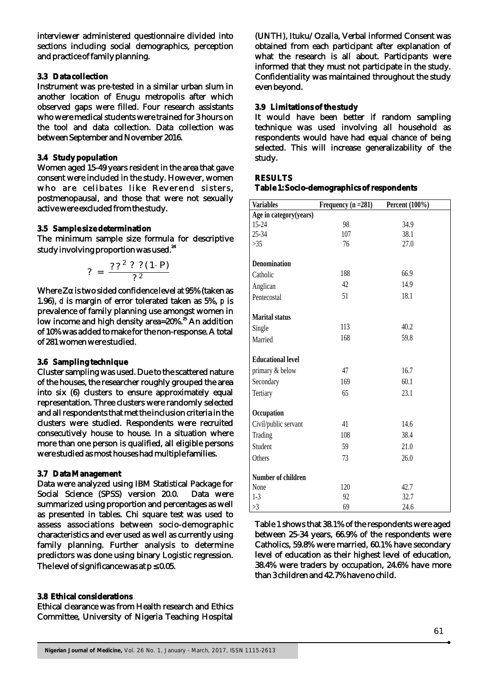interviewer administered questionnaire divided into sections including social demographics, perception and practice of family planning.

#### **3.3 Data collection**

Instrument was pre-tested in a similar urban slum in another location of Enugu metropolis after which observed gaps were filled. Four research assistants who were medical students were trained for 3 hours on the tool and data collection. Data collection was between September and November 2016.

#### **3.4 Study population**

Women aged 15-49 years resident in the area that gave consent were included in the study. However, women who are celibates like Reverend sisters, postmenopausal, and those that were not sexually active were excluded from the study.

#### **3.5 Sample size determination**

The minimum sample size formula for descriptive study involving proportion was used.<sup>24</sup>

$$
? = \frac{??? ? (1 \cdot P)}{??}
$$

Where Za is two sided confidence level at 95% (taken as 1.96), *d* is margin of error tolerated taken as 5%, *p* is prevalence of family planning use amongst women in low income and high density area=20%.<sup>25</sup> An addition of 10% was added to make for the non-response. A total of 281 women were studied.

#### **3.6 Sampling technique**

Cluster sampling was used. Due to the scattered nature of the houses, the researcher roughly grouped the area into six (6) clusters to ensure approximately equal representation. Three clusters were randomly selected and all respondents that met the inclusion criteria in the clusters were studied. Respondents were recruited consecutively house to house. In a situation where more than one person is qualified, all eligible persons were studied as most houses had multiple families.

#### **3.7 Data Management**

Data were analyzed using IBM Statistical Package for Social Science (SPSS) version 20.0. Data were summarized using proportion and percentages as well as presented in tables. Chi square test was used to assess associations between socio-demographic characteristics and ever used as well as currently using family planning. Further analysis to determine predictors was done using binary Logistic regression. The level of significance was at  $p = 0.05$ .

#### **3.8 Ethical considerations**

Ethical clearance was from Health research and Ethics Committee, University of Nigeria Teaching Hospital

(UNTH), Ituku/Ozalla, Verbal informed Consent was obtained from each participant after explanation of what the research is all about. Participants were informed that they must not participate in the study. Confidentiality was maintained throughout the study even beyond.

#### **3.9 Limitations of the study**

It would have been better if random sampling technique was used involving all household as respondents would have had equal chance of being selected. This will increase generalizability of the study.

#### **RESULTS**

#### **Table 1: Socio-demographics of respondents**

| <b>Variables</b>          | Frequency $(n = 281)$ | Percent (100%) |
|---------------------------|-----------------------|----------------|
| Age in category(years)    |                       |                |
| $15 - 24$                 | 98                    | 34.9           |
| 25-34                     | 107                   | 38.1           |
| $>35$                     | 76                    | 27.0           |
| <b>Denomination</b>       |                       |                |
| Catholic                  | 188                   | 66.9           |
| Anglican                  | 42                    | 14.9           |
| Pentecostal               | 51                    | 18.1           |
| <b>Marital</b> status     |                       |                |
| Single                    | 113                   | 40.2           |
| Married                   | 168                   | 59.8           |
| <b>Educational level</b>  |                       |                |
| primary & below           | 47                    | 16.7           |
| Secondary                 | 169                   | 60.1           |
| Tertiary                  | 65                    | 23.1           |
| Occupation                |                       |                |
| Civil/public servant      | 41                    | 14.6           |
| Trading                   | 108                   | 38.4           |
| Student                   | 59                    | 21.0           |
| Others                    | 73                    | 26.0           |
| <b>Number of children</b> |                       |                |
| None                      | 120                   | 42.7           |
| $1-3$                     | 92                    | 32.7           |
| >3                        | 69                    | 24.6           |

Table 1 shows that 38.1% of the respondents were aged between 25-34 years, 66.9% of the respondents were Catholics, 59.8% were married, 60.1% have secondary level of education as their highest level of education, 38.4% were traders by occupation, 24.6% have more than 3 children and 42.7% have no child.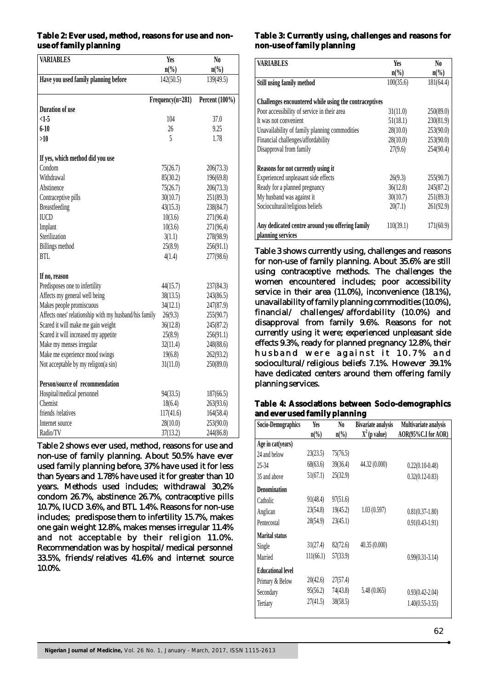# **Table 2: Ever used, method, reasons for use and nonuse of family planning**

| <b>VARIABLES</b>                                      | <b>Yes</b>                  | N <sub>0</sub>              |
|-------------------------------------------------------|-----------------------------|-----------------------------|
|                                                       | $n\left(\frac{0}{0}\right)$ | $n\left(\frac{0}{0}\right)$ |
| Have you used family planning before                  | $\overline{142(50.5)}$      | 139(49.5)                   |
|                                                       | $Frequency(n=281)$          | Percent (100%)              |
| <b>Duration of use</b>                                |                             |                             |
| $\leq$ 1-5                                            | 104                         | 37.0                        |
| $6 - 10$                                              | 26                          | 9.25                        |
| >10                                                   | 5                           | 1.78                        |
| If yes, which method did you use                      |                             |                             |
| Condom                                                | 75(26.7)                    | 206(73.3)                   |
| Withdrawal                                            | 85(30.2)                    | 196(69.8)                   |
| Abstinence                                            | 75(26.7)                    | 206(73.3)                   |
| Contraceptive pills                                   | 30(10.7)                    | 251(89.3)                   |
| <b>Breastfeeding</b>                                  | 43(15.3)                    | 238(84.7)                   |
| <b>IUCD</b>                                           | 10(3.6)                     | 271(96.4)                   |
| Implant                                               | 10(3.6)                     | 271(96,4)                   |
| Sterilization                                         | 3(1.1)                      | 278(98.9)                   |
| <b>Billings</b> method                                | 25(8.9)                     | 256(91.1)                   |
| <b>BTL</b>                                            | 4(1.4)                      | 277(98.6)                   |
| If no, reason                                         |                             |                             |
| Predisposes one to infertility                        | 44(15.7)                    | 237(84.3)                   |
| Affects my general well being                         | 38(13.5)                    | 243(86.5)                   |
| Makes people promiscuous                              | 34(12.1)                    | 247(87.9)                   |
| Affects ones' relationship with my husband/his family | 26(9.3)                     | 255(90.7)                   |
| Scared it will make me gain weight                    | 36(12.8)                    | 245(87.2)                   |
| Scared it will increased my appetite                  | 25(8.9)                     | 256(91.1)                   |
| Make my menses irregular                              | 32(11.4)                    | 248(88.6)                   |
| Make me experience mood swings                        | 19(6.8)                     | 262(93.2)                   |
| Not acceptable by my religon(a sin)                   | 31(11.0)                    | 250(89.0)                   |
| Person/source of recommendation                       |                             |                             |
| Hospital/medical personnel                            | 94(33.5)                    | 187(66.5)                   |
| Chemist                                               | 18(6.4)                     | 263(93.6)                   |
| friends /relatives                                    | 117(41.6)                   | 164(58.4)                   |
| Internet source                                       | 28(10.0)                    | 253(90.0)                   |
| Radio/TV                                              | 37(13.2)                    | 244(86.8)                   |

Table 2 shows ever used, method, reasons for use and non-use of family planning. About 50.5% have ever used family planning before, 37% have used it for less than 5years and 1.78% have used it for greater than 10 years. Methods used includes; withdrawal 30,2% condom 26.7%, abstinence 26.7%, contraceptive pills 10.7%, IUCD 3.6%, and BTL 1.4%. Reasons for non-use includes; predispose them to infertility 15.7%, makes one gain weight 12.8%, makes menses irregular 11.4% and not acceptable by their religion 11.0%. Recommendation was by hospital/medical personnel 33.5%, friends/relatives 41.6% and internet source 10.0%.

### **Table 3: Currently using, challenges and reasons for non-use of family planning**

| <b>VARIABLES</b>                                                     | Yes        | No.             |
|----------------------------------------------------------------------|------------|-----------------|
|                                                                      | $n\llap/0$ | $n\binom{0}{0}$ |
| Still using family method                                            | 100(35.6)  | 181(64.4)       |
|                                                                      |            |                 |
| Challenges encountered while using the contraceptives                |            |                 |
| Poor accessibility of service in their area                          | 31(11.0)   | 250(89.0)       |
| It was not convenient                                                | 51(18.1)   | 230(81.9)       |
| Unavailability of family planning commodities                        | 28(10.0)   | 253(90.0)       |
| Financial challenges/affordability                                   | 28(10.0)   | 253(90.0)       |
| Disapproval from family                                              | 27(9.6)    | 254(90.4)       |
| Reasons for not currently using it                                   |            |                 |
| Experienced unpleasant side effects                                  | 26(9.3)    | 255(90.7)       |
| Ready for a planned pregnancy                                        | 36(12.8)   | 245(87.2)       |
| My husband was against it                                            | 30(10.7)   | 251(89.3)       |
| Sociocultural/religious beliefs                                      | 20(7.1)    | 261(92.9)       |
| Any dedicated centre around you offering family<br>planning services | 110(39.1)  | 171(60.9)       |

Table 3 shows currently using, challenges and reasons for non-use of family planning. About 35.6% are still using contraceptive methods. The challenges the women encountered includes; poor accessibility service in their area (11.0%), inconvenience (18.1%), unavailability of family planning commodities (10.0%), financial/ challenges/affordability (10.0%) and disapproval from family 9.6%. Reasons for not currently using it were; experienced unpleasant side effects 9.3%, ready for planned pregnancy 12.8%, their husband were against it 10.7% and sociocultural/religious beliefs 7.1%. However 39.1% have dedicated centers around them offering family planning services.

# **Table 4: Associations between Socio-demographics and ever used family planning**

| Socio-Demographics       | Yes                         | No             | <b>Bivariate analysis</b> | Multivariate analysis |
|--------------------------|-----------------------------|----------------|---------------------------|-----------------------|
|                          | $n\left(\frac{0}{0}\right)$ | $n\frac{0}{0}$ | $2(p$ value)              | AOR(95%C.I for AOR)   |
| Age in cat(years)        |                             |                |                           |                       |
| 24 and below             | 23(23.5)                    | 75(76.5)       |                           |                       |
| 25-34                    | 68(63.6)                    | 39(36.4)       | 44.32 (0.000)             | $0.22(0.10-0.48)$     |
| 35 and above             | 51(67.1)                    | 25(32.9)       |                           | $0.32(0.12 - 0.83)$   |
| <b>Denomination</b>      |                             |                |                           |                       |
| Catholic                 | 91(48.4)                    | 97(51.6)       |                           |                       |
| Anglican                 | 23(54.8)                    | 19(45.2)       | 1.03(0.597)               | $0.81(0.37-1.80)$     |
| Pentecostal              | 28(54.9)                    | 23(45.1)       |                           | $0.91(0.43-1.91)$     |
| <b>Marital status</b>    |                             |                |                           |                       |
| Single                   | 31(27.4)                    | 82(72.6)       | 40.35 (0.000)             |                       |
| Married                  | 111(66.1)                   | 57(33.9)       |                           | $0.99(0.31-3.14)$     |
| <b>Educational level</b> |                             |                |                           |                       |
| Primary & Below          | 20(42.6)                    | 27(57.4)       |                           |                       |
| Secondary                | 95(56.2)                    | 74(43.8)       | 5.48(0.065)               | $0.93(0.42 - 2.04)$   |
| Tertiary                 | 27(41.5)                    | 38(58.5)       |                           | $1.40(0.55-3.55)$     |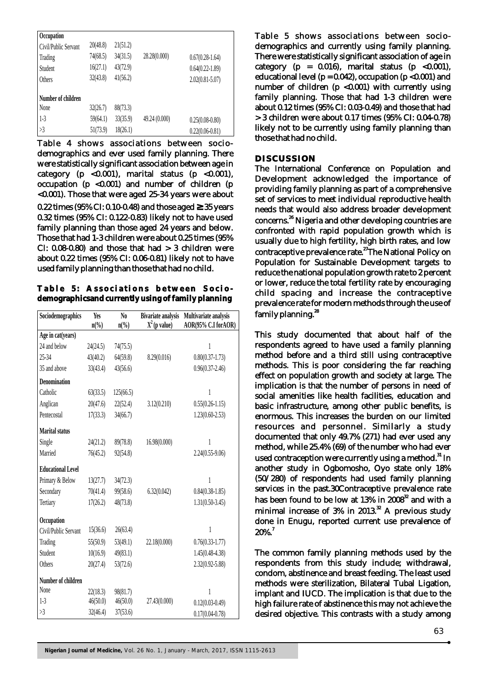| Occupation           |          |          |               |                     |
|----------------------|----------|----------|---------------|---------------------|
| Civil/Public Servant | 20(48.8) | 21(51.2) |               |                     |
| Trading              | 74(68.5) | 34(31.5) | 28.28(0.000)  | $0.67(0.28-1.64)$   |
| Student              | 16(27.1) | 43(72.9) |               | $0.64(0.22 - 1.89)$ |
| Others               | 32(43.8) | 41(56.2) |               | $2.02(0.81 - 5.07)$ |
| Number of children   |          |          |               |                     |
| None                 | 32(26.7) | 88(73.3) |               |                     |
| $1-3$                | 59(64.1) | 33(35.9) | 49.24 (0.000) | $0.25(0.08-0.80)$   |
| >3                   | 51(73.9) | 18(26.1) |               | $0.22(0.06-0.81)$   |

Table 4 shows associations between sociodemographics and ever used family planning. There were statistically significant association between age in category (p <0.001), marital status (p <0.001), occupation  $(p \le 0.001)$  and number of children  $(p \le 0.001)$ <0.001). Those that were aged 25-34 years were about 0.22 times (95% CI: 0.10-0.48) and those aged **≥** 35 years 0.32 times (95% CI: 0.122-0.83) likely not to have used family planning than those aged 24 years and below. Those that had 1-3 children were about 0.25 times (95% CI:  $0.08-0.80$  and those that had  $> 3$  children were about 0.22 times (95% CI: 0.06-0.81) likely not to have used family planning than those that had no child.

Table 5: Associations between Socio**demographicsand currently using of family planning**

| Sociodemographics        | Yes                         | N <sub>0</sub>              | <b>Bivariate analysis</b> | Multivariate analysis |
|--------------------------|-----------------------------|-----------------------------|---------------------------|-----------------------|
|                          | $n\left(\frac{0}{0}\right)$ | $n\left(\frac{0}{0}\right)$ | $2(p \text{ value})$      | AOR(95% C.I forAOR)   |
| Age in cat(years)        |                             |                             |                           |                       |
| 24 and below             | 24(24.5)                    | 74(75.5)                    |                           | 1                     |
| 25-34                    | 43(40.2)                    | 64(59.8)                    | 8.29(0.016)               | $0.80(0.37 - 1.73)$   |
| 35 and above             | 33(43.4)                    | 43(56.6)                    |                           | $0.96(0.37 - 2.46)$   |
| <b>Denomination</b>      |                             |                             |                           |                       |
| Catholic                 | 63(33.5)                    | 125(66.5)                   |                           | 1                     |
| Anglican                 | 20(47.6)                    | 22(52.4)                    | 3.12(0.210)               | $0.55(0.26 - 1.15)$   |
| Pentecostal              | 17(33.3)                    | 34(66.7)                    |                           | $1.23(0.60-2.53)$     |
| <b>Marital status</b>    |                             |                             |                           |                       |
| Single                   | 24(21.2)                    | 89(78.8)                    | 16.98(0.000)              | 1                     |
| Married                  | 76(45.2)                    | 92(54.8)                    |                           | $2.24(0.55-9.06)$     |
| <b>Educational Level</b> |                             |                             |                           |                       |
| Primary & Below          | 13(27.7)                    | 34(72.3)                    |                           | 1                     |
| Secondary                | 70(41.4)                    | 99(58.6)                    | 6.32(0.042)               | $0.84(0.38-1.85)$     |
| Tertiary                 | 17(26.2)                    | 48(73.8)                    |                           | $1.31(0.50-3.45)$     |
| Occupation               |                             |                             |                           |                       |
| Civil/Public Servant     | 15(36.6)                    | 26(63.4)                    |                           | 1                     |
| Trading                  | 55(50.9)                    | 53(49.1)                    | 22.18(0.000)              | $0.76(0.33 - 1.77)$   |
| Student                  | 10(16.9)                    | 49(83.1)                    |                           | $1.45(0.48 - 4.38)$   |
| Others                   | 20(27.4)                    | 53(72.6)                    |                           | 2.32(0.92-5.88)       |
| Number of children       |                             |                             |                           |                       |
| None                     | 22(18.3)                    | 98(81.7)                    |                           | 1                     |
| $1-3$                    | 46(50.0)                    | 46(50.0)                    | 27.43(0.000)              | $0.12(0.03 - 0.49)$   |
| >3                       | 32(46.4)                    | 37(53.6)                    |                           | $0.17(0.04 - 0.78)$   |

Table 5 shows associations between sociodemographics and currently using family planning. There were statistically significant association of age in category ( $p = 0.016$ ), marital status ( $p \lt 0.001$ ), educational level ( $p = 0.042$ ), occupation ( $p < 0.001$ ) and number of children  $(p \lt 0.001)$  with currently using family planning. Those that had 1-3 children were about 0.12 times (95% CI: 0.03-0.49) and those that had > 3 children were about 0.17 times (95% CI: 0.04-0.78) likely not to be currently using family planning than those that had no child.

#### **DISCUSSION**

The International Conference on Population and Development acknowledged the importance of providing family planning as part of a comprehensive set of services to meet individual reproductive health needs that would also address broader development concerns.<sup>26</sup> Nigeria and other developing countries are confronted with rapid population growth which is usually due to high fertility, high birth rates, and low contraceptive prevalence rate.<sup>27</sup>The National Policy on Population for Sustainable Development targets to reduce the national population growth rate to 2 percent or lower, reduce the total fertility rate by encouraging child spacing and increase the contraceptive prevalence rate for modern methods through the use of family planning.<sup>28</sup>

This study documented that about half of the respondents agreed to have used a family planning method before and a third still using contraceptive methods. This is poor considering the far reaching effect on population growth and society at large. The implication is that the number of persons in need of social amenities like health facilities, education and basic infrastructure, among other public benefits, is enormous. This increases the burden on our limited resources and personnel. Similarly a study documented that only 49.7% (271) had ever used any method, while 25.4% (69) of the number who had ever used contraception were currently using a method.<sup>31</sup> In another study in Ogbomosho, Oyo state only 18% (50/280) of respondents had used family planning services in the past.30Contraceptive prevalence rate has been found to be low at  $13\%$  in  $2008^{32}$  and with a minimal increase of 3% in 2013.<sup>32</sup> A previous study done in Enugu, reported current use prevalence of  $20\%$ .

The common family planning methods used by the respondents from this study include; withdrawal, condom, abstinence and breast feeding. The least used methods were sterilization, Bilateral Tubal Ligation, implant and IUCD. The implication is that due to the high failure rate of abstinence this may not achieve the desired objective. This contrasts with a study among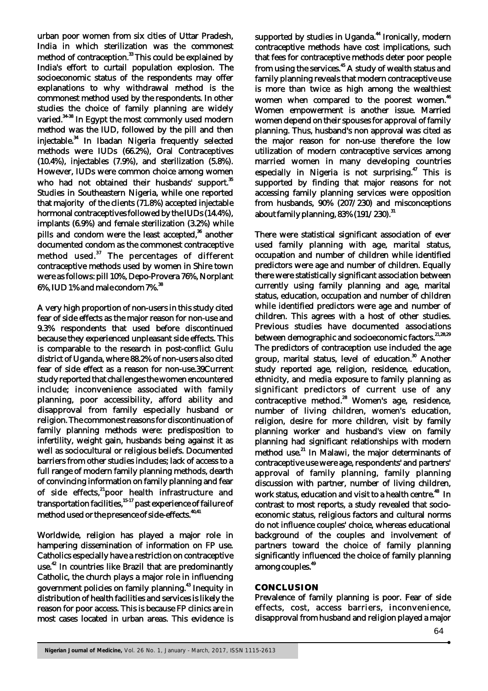urban poor women from six cities of Uttar Pradesh, India in which sterilization was the commonest method of contraception.<sup>33</sup> This could be explained by India's effort to curtail population explosion. The socioeconomic status of the respondents may offer explanations to why withdrawal method is the commonest method used by the respondents. In other studies the choice of family planning are widely varied.<sup>34-38</sup> In Egypt the most commonly used modern method was the IUD, followed by the pill and then injectable.<sup>34</sup> In Ibadan Nigeria frequently selected methods were IUDs (66.2%), Oral Contraceptives (10.4%), injectables (7.9%), and sterilization (5.8%). However, IUDs were common choice among women who had not obtained their husbands' support.<sup>35</sup> Studies in Southeastern Nigeria, while one reported that majority of the clients (71.8%) accepted injectable hormonal contraceptives followed by the IUDs (14.4%), implants (6.9%) and female sterilization (3.2%) while pills and condom were the least accepted,<sup>36</sup> another documented condom as the commonest contraceptive method used.<sup>37</sup> The percentages of different contraceptive methods used by women in Shire town were as follows: pill 10%, Depo-Provera 76%, Norplant <sup>38</sup> 6%, IUD 1% and male condom 7%.

A very high proportion of non-users in this study cited fear of side effects as the major reason for non-use and 9.3% respondents that used before discontinued because they experienced unpleasant side effects. This is comparable to the research in post-conflict Gulu district of Uganda, where 88.2% of non-users also cited fear of side effect as a reason for non-use.39Current study reported that challenges the women encountered include; inconvenience associated with family planning, poor accessibility, afford ability and disapproval from family especially husband or religion. The commonest reasons for discontinuation of family planning methods were: predisposition to infertility, weight gain, husbands being against it as well as sociocultural or religious beliefs. Documented barriers from other studies includes; lack of access to a full range of modern family planning methods, dearth of convincing information on family planning and fear of side effects,<sup>21</sup>poor health infrastructure and  $15-17$  transportation facilities,  $15-17$  past experience of failure of method used or the presence of side-effects.<sup>40,41</sup>

Worldwide, religion has played a major role in hampering dissemination of information on FP use. Catholics especially have a restriction on contraceptive use.<sup>42</sup> In countries like Brazil that are predominantly Catholic, the church plays a major role in influencing government policies on family planning.<sup>43</sup> Inequity in distribution of health facilities and services is likely the reason for poor access. This is because FP clinics are in most cases located in urban areas. This evidence is

supported by studies in Uganda.<sup>44</sup> Ironically, modern contraceptive methods have cost implications, such that fees for contraceptive methods deter poor people from using the services.<sup>45</sup> A study of wealth status and family planning reveals that modern contraceptive use is more than twice as high among the wealthiest women when compared to the poorest women.<sup>46</sup> Women empowerment is another issue. Married women depend on their spouses for approval of family planning. Thus, husband's non approval was cited as the major reason for non-use therefore the low utilization of modern contraceptive services among married women in many developing countries especially in Nigeria is not surprising.<sup>47</sup> This is supported by finding that major reasons for not accessing family planning services were opposition from husbands, 90% (207/230) and misconceptions about family planning,  $83\%$  (191/230).<sup>31</sup>

There were statistical significant association of ever used family planning with age, marital status, occupation and number of children while identified predictors were age and number of children. Equally there were statistically significant association between currently using family planning and age, marital status, education, occupation and number of children while identified predictors were age and number of children. This agrees with a host of other studies. Previous studies have documented associations between demographic and socioeconomic factors.<sup>21,28,29</sup> The predictors of contraception use included the age group, marital status, level of education.<sup>30</sup> Another study reported age, religion, residence, education, ethnicity, and media exposure to family planning as significant predictors of current use of any contraceptive method.<sup>28</sup> Women's age, residence, number of living children, women's education, religion, desire for more children, visit by family planning worker and husband's view on family planning had significant relationships with modern  $\overline{\text{1}}$  method use.<sup>21</sup> In Malawi, the major determinants of contraceptive use were age, respondents' and partners' approval of family planning, family planning discussion with partner, number of living children, work status, education and visit to a health centre.<sup>48</sup> In contrast to most reports, a study revealed that socioeconomic status, religious factors and cultural norms do not influence couples' choice, whereas educational background of the couples and involvement of partners toward the choice of family planning significantly influenced the choice of family planning among couples.<sup>49</sup>

#### **CONCLUSION**

Prevalence of family planning is poor. Fear of side effects, cost, access barriers, inconvenience, disapproval from husband and religion played a major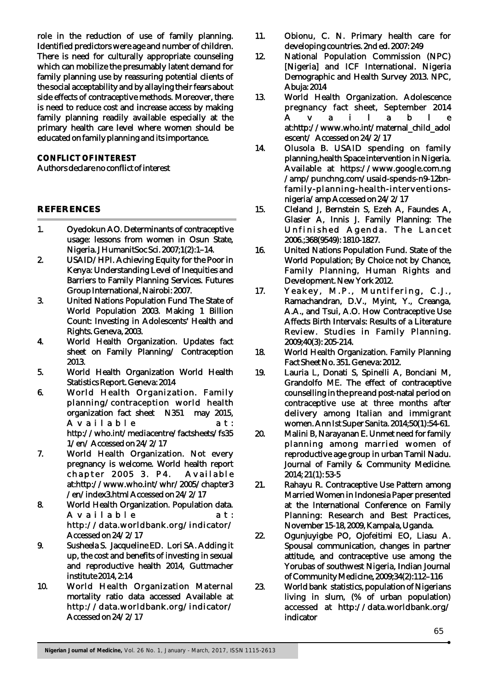role in the reduction of use of family planning. Identified predictors were age and number of children. There is need for culturally appropriate counseling which can mobilize the presumably latent demand for family planning use by reassuring potential clients of the social acceptability and by allaying their fears about side effects of contraceptive methods. Moreover, there is need to reduce cost and increase access by making family planning readily available especially at the primary health care level where women should be educated on family planning and its importance.

# **CONFLICT OF INTEREST** Authors declare no conflict of interest

#### **REFERENCES**

- 1. Oyedokun AO. Determinants of contraceptive usage: lessons from women in Osun State, Nigeria. J HumanitSoc Sci. 2007;1(2):1–14.
- 2. USAID/HPI. Achieving Equity for the Poor in Kenya: Understanding Level of Inequities and Barriers to Family Planning Services. Futures Group International, Nairobi: 2007.
- 3. United Nations Population Fund The State of World Population 2003. Making 1 Billion Count: Investing in Adolescents' Health and Rights. Geneva, 2003.
- 4. World Health Organization. Updates fact sheet on Family Planning/ Contraception 2013.
- 5. World Health Organization World Health Statistics Report. Geneva: 2014
- 6. World Health Organization. Family planning/contraception world health organization fact sheet N351 may 2015, A v a i l a b l e a t : http://who.int/mediacentre/factsheets/fs35 1/en/ Accessed on 24/2/17
- 7. World Health Organization. Not every pregnancy is welcome. World health report chapter 2005 3. P4. Available at:http://www.who.int/whr/2005/chapter3 /en/index3.html Accessed on 24/2/17
- 8. World Health Organization. Population data. A v a i l a b l e a t : http://data.worldbank.org/indicator/ Accessed on 24/2/17
- 9. Susheela S. Jacqueline ED. Lori SA. Adding it up, the cost and benefits of investing in sexual and reproductive health 2014, Guttmacher institute 2014, 2:14
- 10. World Health Organization Maternal mortality ratio data accessed Available at http://data.worldbank.org/indicator/ Accessed on 24/2/17
- 11. Obionu, C. N. Primary health care for developing countries. 2nd ed. 2007: 249
- 12. National Population Commission (NPC) [Nigeria] and ICF International. Nigeria Demographic and Health Survey 2013. NPC, Abuja: 2014
- 13. World Health Organization. Adolescence pregnancy fact sheet, September 2014 A v a i l a b l e at:http://www.who.int/maternal\_child\_adol escent/ Accessed on 24/2/17
- 14. Olusola B. USAID spending on family planning,health Space intervention in Nigeria. Available at https://www.google.com.ng /amp/punchng.com/usaid-spends-n9-12bnfamily-planning-health-interventionsnigeria/amp Accessed on 24/2/17
- 15. Cleland J, Bernstein S, Ezeh A, Faundes A, Glasier A, Innis J. Family Planning: The Unfinished Agenda. The Lancet 2006.;368(9549): 1810-1827.
- 16. United Nations Population Fund. State of the World Population; By Choice not by Chance, Family Planning, Human Rights and Development. New York 2012.
- 17. Yeakey, M.P., Muntifering, C.J., Ramachandran, D.V., Myint, Y., Creanga, A.A., and Tsui, A.O. How Contraceptive Use Affects Birth Intervals: Results of a Literature Review. Studies in Family Planning. 2009;40(3): 205-214.
- 18. World Health Organization. Family Planning Fact Sheet No. 351. Geneva: 2012.
- 19. Lauria L, Donati S, Spinelli A, Bonciani M, Grandolfo ME. The effect of contraceptive counselling in the pre and post-natal period on contraceptive use at three months after delivery among Italian and immigrant women. Ann Ist Super Sanita. 2014;50(1):54-61.
- 20. Malini B, Narayanan E. Unmet need for family planning among married women of reproductive age group in urban Tamil Nadu. Journal of Family & Community Medicine. 2014; 21(1): 53-5
- 21. Rahayu R. Contraceptive Use Pattern among Married Women in Indonesia Paper presented at the International Conference on Family Planning: Research and Best Practices, November 15-18, 2009, Kampala, Uganda.
- 22. Ogunjuyigbe PO, Ojofeitimi EO, Liasu A. Spousal communication, changes in partner attitude, and contraceptive use among the Yorubas of southwest Nigeria, Indian Journal of Community Medicine, 2009;34(2):112–116
- 23. World bank statistics, population of Nigerians living in slum, (% of urban population) accessed at http://data.worldbank.org/ indicator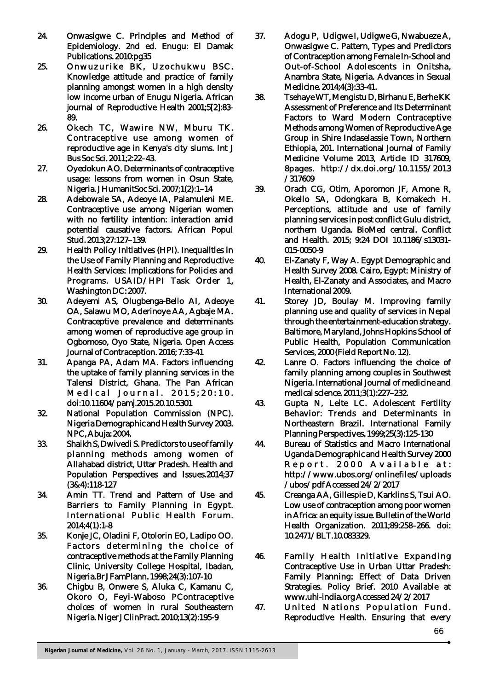- 24. Onwasigwe C. Principles and Method of Epidemiology. 2nd ed. Enugu: El Damak Publications. 2010:pg35
- 25. Onwuzurike BK, Uzochukwu BSC. Knowledge attitude and practice of family planning amongst women in a high density low income urban of Enugu Nigeria. African journal of Reproductive Health 2001;5[2]:83- 89.
- 26. Okech TC, Wawire NW, Mburu TK. Contraceptive use among women of reproductive age in Kenya's city slums. Int J Bus Soc Sci. 2011;2:22–43.
- 27. Oyedokun AO. Determinants of contraceptive usage: lessons from women in Osun State, Nigeria. J HumanitSoc Sci. 2007;1(2):1–14
- 28. Adebowale SA, Adeoye IA, Palamuleni ME. Contraceptive use among Nigerian women with no fertility intention: interaction amid potential causative factors. African Popul Stud. 2013;27:127–139.
- 29. Health Policy Initiatives (HPI). Inequalities in the Use of Family Planning and Reproductive Health Services: Implications for Policies and Programs. USAID/HPI Task Order 1, Washington DC: 2007.
- 30. Adeyemi AS, Olugbenga-Bello AI, Adeoye OA, Salawu MO, Aderinoye AA, Agbaje MA. Contraceptive prevalence and determinants among women of reproductive age group in Ogbomoso, Oyo State, Nigeria. Open Access Journal of Contraception. 2016; 7:33-41
- 31. Apanga PA, Adam MA. Factors influencing the uptake of family planning services in the Talensi District, Ghana. The Pan African Medical Journal. 2015:20:10. doi:10.11604/pamj.2015.20.10.5301
- 32. National Population Commission (NPC). Nigeria Demographic and Health Survey 2003. NPC, Abuja: 2004.
- 33. Shaikh S, Dwivedi S. Predictors to use of family planning methods among women of Allahabad district, Uttar Pradesh. Health and Population Perspectives and Issues.2014;37 (3&4):118-127
- 34. Amin TT. Trend and Pattern of Use and Barriers to Family Planning in Egypt. International Public Health Forum. 2014;4(1):1-8
- 35. Konje JC, Oladini F, Otolorin EO, Ladipo OO. Factors determining the choice of contraceptive methods at the Family Planning Clinic, University College Hospital, Ibadan, Nigeria.Br J FamPlann. 1998;24(3):107-10
- 36. Chigbu B, Onwere S, Aluka C, Kamanu C, Okoro O, Feyi-Waboso PContraceptive choices of women in rural Southeastern Nigeria. Niger J ClinPract. 2010;13(2):195-9
- 37. Adogu P, Udigwe I, Udigwe G, Nwabueze A, Onwasigwe C. Pattern, Types and Predictors of Contraception among Female In-School and Out-of-School Adolescents in Onitsha, Anambra State, Nigeria. Advances in Sexual Medicine. 2014;4(3):33-41.
- 38. Tsehaye WT, Mengistu D, Birhanu E, Berhe KK Assessment of Preference and Its Determinant Factors to Ward Modern Contraceptive Methods among Women of Reproductive Age Group in Shire Indaselassie Town, Northern Ethiopia, 201. International Journal of Family Medicine Volume 2013, Article ID 317609, 8pages. http://dx.doi.org/10.1155/2013 /317609
- 39. Orach CG, Otim, Aporomon JF, Amone R, Okello SA, Odongkara B, Komakech H. Perceptions, attitude and use of family planning services in post conflict Gulu district, northern Uganda. BioMed central. Conflict and Health. 2015; 9:24 DOI 10.1186/s13031- 015-0050-9
- 40. El-Zanaty F, Way A. Egypt Demographic and Health Survey 2008. Cairo, Egypt: Ministry of Health, El-Zanaty and Associates, and Macro International 2009.
- 41. Storey JD, Boulay M. Improving family planning use and quality of services in Nepal through the entertainment-education strategy. Baltimore, Maryland, Johns Hopkins School of Public Health, Population Communication Services, 2000 (Field Report No. 12).
- 42. Lanre O. Factors influencing the choice of family planning among couples in Southwest Nigeria. International Journal of medicine and medical science. 2011;3(1):227–232.
- 43. Gupta N, Leite LC. Adolescent Fertility Behavior: Trends and Determinants in Northeastern Brazil. International Family Planning Perspectives. 1999;25(3):125-130
- 44. Bureau of Statistics and Macro International Uganda Demographic and Health Survey 2000 Report. 2000 Available at: http://www.ubos.org/onlinefiles/uploads /ubos/pdf Accessed 24/2/2017
- 45. Creanga AA, Gillespie D, Karklins S, Tsui AO. Low use of contraception among poor women in Africa: an equity issue. Bulletin of the World Health Organization. 2011;89:258–266. doi: 10.2471/BLT.10.083329.
- 46. Family Health Initiative Expanding Contraceptive Use in Urban Uttar Pradesh: Family Planning: Effect of Data Driven Strategies. Policy Brief. 2010 Available at www.uhi-india.org Accessed 24/2/2017
- 47. United Nations Population Fund. Reproductive Health. Ensuring that every